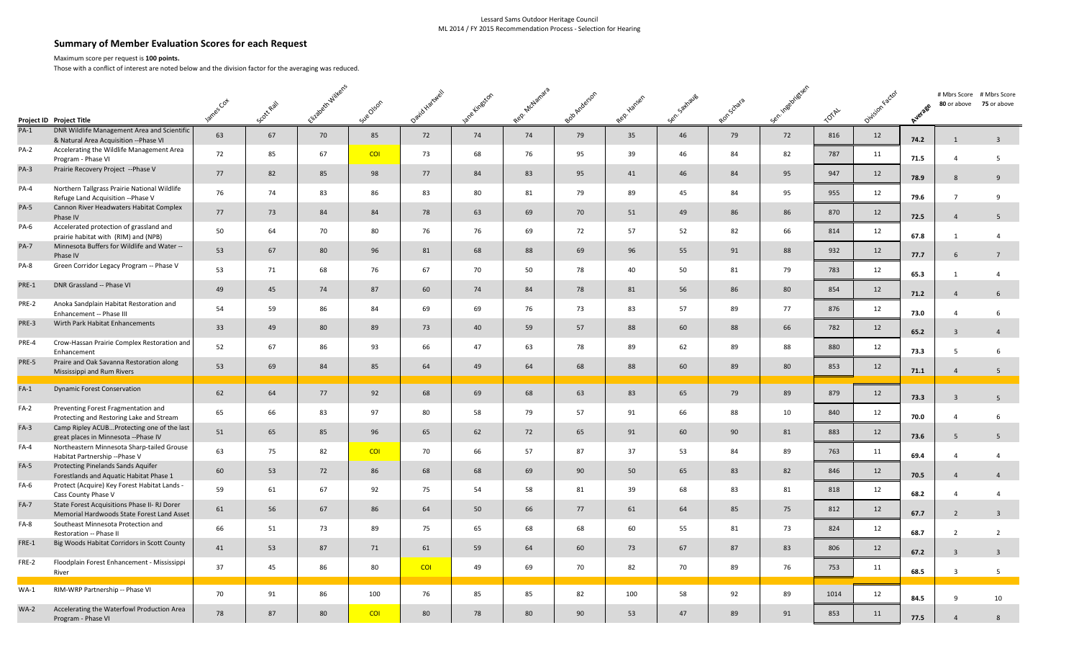## Lessard Sams Outdoor Heritage Council ML 2014 / FY 2015 Recommendation Process - Selection for Hearing

## **Summary of Member Evaluation Scores for each Request**

Maximum score per request is **100 points.**

Those with a conflict of interest are noted below and the division factor for the averaging was reduced.

|             | Project ID Project Title                                                                   | James Cot | Scott Rall | Elizabeth Wilkens | Sue Ofson  | David Harcuel | iane Kingston | McNamara<br>Rep. | Bob Anderson | Hansen<br>Rep. | Sen. Satraug | Ron-Sthata | Sen. Inegristsen | TOTAL | Division ractor |      | 80 or above 75 or above | # Mbrs Score # Mbrs Score |
|-------------|--------------------------------------------------------------------------------------------|-----------|------------|-------------------|------------|---------------|---------------|------------------|--------------|----------------|--------------|------------|------------------|-------|-----------------|------|-------------------------|---------------------------|
| $PA-1$      | DNR Wildlife Management Area and Scientific<br>& Natural Area Acquisition -- Phase VI      | 63        | 67         | 70                | 85         | 72            | 74            | 74               | 79           | 35             | 46           | 79         | 72               | 816   | 12              | 74.2 | $\mathbf{1}$            | $\overline{3}$            |
| <b>PA-2</b> | Accelerating the Wildlife Management Area<br>Program - Phase VI                            | 72        | 85         | 67                | <b>COI</b> | 73            | 68            | 76               | 95           | 39             | 46           | 84         | 82               | 787   | 11              | 71.5 | $\overline{4}$          | 5                         |
| $PA-3$      | Prairie Recovery Project --Phase V                                                         | 77        | 82         | 85                | 98         | 77            | 84            | 83               | 95           | 41             | 46           | 84         | 95               | 947   | 12              | 78.9 | 8                       | 9                         |
| $PA-4$      | Northern Tallgrass Prairie National Wildlife<br>Refuge Land Acquisition --Phase V          | 76        | 74         | 83                | 86         | 83            | 80            | 81               | 79           | 89             | 45           | 84         | 95               | 955   | 12              | 79.6 | $7\overline{ }$         | 9                         |
| <b>PA-5</b> | Cannon River Headwaters Habitat Complex<br>Phase IV                                        | 77        | 73         | 84                | 84         | 78            | 63            | 69               | 70           | 51             | 49           | 86         | 86               | 870   | 12              | 72.5 | $\overline{4}$          | $5\overline{5}$           |
| PA-6        | Accelerated protection of grassland and<br>prairie habitat with (RIM) and (NPB)            | 50        | 64         | 70                | 80         | 76            | 76            | 69               | 72           | 57             | 52           | 82         | 66               | 814   | 12              | 67.8 | 1                       | $\overline{4}$            |
| <b>PA-7</b> | Minnesota Buffers for Wildlife and Water --<br>Phase IV                                    | 53        | 67         | 80                | 96         | 81            | 68            | 88               | 69           | 96             | 55           | 91         | 88               | 932   | 12              | 77.7 | $6\overline{6}$         | $7\overline{ }$           |
| PA-8        | Green Corridor Legacy Program -- Phase V                                                   | 53        | 71         | 68                | 76         | 67            | 70            | 50               | 78           | 40             | 50           | 81         | 79               | 783   | 12              | 65.3 | 1                       | $\overline{4}$            |
| PRE-1       | DNR Grassland -- Phase VI                                                                  | 49        | 45         | 74                | 87         | 60            | 74            | 84               | 78           | 81             | 56           | 86         | 80               | 854   | 12              | 71.2 | $\overline{4}$          | 6                         |
| PRE-2       | Anoka Sandplain Habitat Restoration and<br>Enhancement -- Phase III                        | 54        | 59         | 86                | 84         | 69            | 69            | 76               | 73           | 83             | 57           | 89         | 77               | 876   | 12              | 73.0 | $\overline{4}$          | 6                         |
| PRE-3       | Wirth Park Habitat Enhancements                                                            | 33        | 49         | 80                | 89         | 73            | 40            | 59               | 57           | 88             | 60           | 88         | 66               | 782   | 12              | 65.2 | $\overline{\mathbf{3}}$ | $\overline{4}$            |
| PRE-4       | Crow-Hassan Prairie Complex Restoration and<br>Enhancement                                 | 52        | 67         | 86                | 93         | 66            | 47            | 63               | 78           | 89             | 62           | 89         | 88               | 880   | 12              | 73.3 | 5                       | 6                         |
| PRE-5       | Praire and Oak Savanna Restoration along<br>Mississippi and Rum Rivers                     | 53        | 69         | 84                | 85         | 64            | 49            | 64               | 68           | 88             | 60           | 89         | 80               | 853   | 12              | 71.1 | $\overline{4}$          | $5\phantom{.0}$           |
| $FA-1$      | <b>Dynamic Forest Conservation</b>                                                         | 62        | 64         | 77                | 92         | 68            | 69            | 68               | 63           | 83             | 65           | 79         | 89               | 879   | 12              | 73.3 | $\overline{\mathbf{3}}$ | $5\overline{)}$           |
| $FA-2$      | Preventing Forest Fragmentation and<br>Protecting and Restoring Lake and Stream            | 65        | 66         | 83                | 97         | 80            | 58            | 79               | 57           | 91             | 66           | 88         | 10               | 840   | 12              | 70.0 | $\overline{4}$          | -6                        |
| $FA-3$      | Camp Ripley ACUBProtecting one of the last<br>great places in Minnesota --Phase IV         | 51        | 65         | 85                | 96         | 65            | 62            | 72               | 65           | 91             | 60           | 90         | 81               | 883   | 12              | 73.6 | 5 <sup>5</sup>          | $5\overline{5}$           |
| $FA-4$      | Northeastern Minnesota Sharp-tailed Grouse<br>Habitat Partnership -- Phase V               | 63        | 75         | 82                | <b>COI</b> | 70            | 66            | 57               | 87           | 37             | 53           | 84         | 89               | 763   | 11              | 69.4 | $\overline{4}$          | $\overline{4}$            |
| $FA-5$      | Protecting Pinelands Sands Aquifer<br>Forestlands and Aquatic Habitat Phase 1              | 60        | 53         | 72                | 86         | 68            | 68            | 69               | 90           | 50             | 65           | 83         | 82               | 846   | 12              | 70.5 | $\overline{4}$          | $\overline{4}$            |
| $FA-6$      | Protect (Acquire) Key Forest Habitat Lands -<br>Cass County Phase V                        | 59        | 61         | 67                | 92         | 75            | 54            | 58               | 81           | 39             | 68           | 83         | 81               | 818   | 12              | 68.2 | $\overline{4}$          | $\overline{4}$            |
| $FA-7$      | State Forest Acquisitions Phase II- RJ Dorer<br>Memorial Hardwoods State Forest Land Asset | 61        | 56         | 67                | 86         | 64            | 50            | 66               | 77           | 61             | 64           | 85         | 75               | 812   | 12              | 67.7 | $\overline{2}$          | $\overline{\mathbf{3}}$   |
| FA-8        | Southeast Minnesota Protection and<br>Restoration -- Phase II                              | 66        | 51         | 73                | 89         | 75            | 65            | 68               | 68           | 60             | 55           | 81         | 73               | 824   | 12              | 68.7 | $\overline{2}$          | $\overline{2}$            |
| FRE-1       | Big Woods Habitat Corridors in Scott County                                                | 41        | 53         | 87                | 71         | 61            | 59            | 64               | 60           | 73             | 67           | 87         | 83               | 806   | 12              | 67.2 | $\overline{\mathbf{3}}$ | $\overline{\mathbf{3}}$   |
| FRE-2       | Floodplain Forest Enhancement - Mississippi<br>River                                       | 37        | 45         | 86                | 80         | <b>COI</b>    | 49            | 69               | 70           | 82             | 70           | 89         | 76               | 753   | 11              | 68.5 | $\overline{\mathbf{3}}$ | 5                         |
| $WA-1$      | RIM-WRP Partnership -- Phase VI                                                            | 70        | 91         | 86                | 100        | 76            | 85            | 85               | 82           | 100            | 58           | 92         | 89               | 1014  | 12              | 84.5 | $\overline{9}$          | 10 <sup>10</sup>          |
| $WA-2$      | Accelerating the Waterfowl Production Area<br>Program - Phase VI                           | 78        | 87         | 80                | <b>COI</b> | 80            | 78            | 80               | 90           | 53             | 47           | 89         | 91               | 853   | 11              | 77.5 | $\overline{4}$          | 8                         |